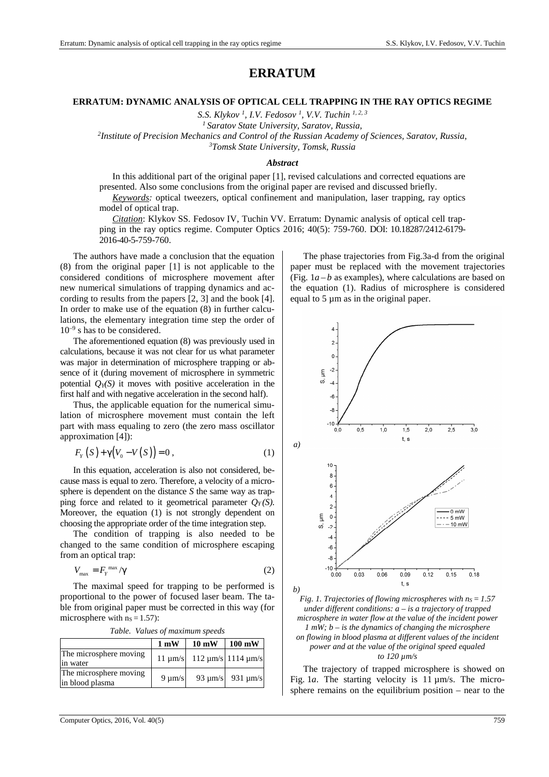# **ERRATUM**

# **ERRATUM: DYNAMIC ANALYSIS OF OPTICAL CELL TRAPPING IN THE RAY OPTICS REGIME**

*S.S. Klykov <sup>1</sup> , I.V. Fedosov <sup>1</sup> , V.V. Tuchin 1, 2, 3*

*<sup>1</sup>Saratov State University, Saratov, Russia,* 

*2 Institute of Precision Mechanics and Control of the Russian Academy of Sciences, Saratov, Russia, <sup>3</sup>Tomsk State University, Tomsk, Russia* 

#### *Abstract*

In this additional part of the original paper [1], revised calculations and corrected equations are presented. Also some conclusions from the original paper are revised and discussed briefly.

*Keywords:* optical tweezers, optical confinement and manipulation, laser trapping, ray optics model of optical trap.

*Citation*: Klykov SS. Fedosov IV, Tuchin VV. Erratum: Dynamic analysis of optical cell trapping in the ray optics regime. Computer Optics 2016; 40(5): 759-760. DOI: 10.18287/2412-6179- 2016-40-5-759-760.

The authors have made a conclusion that the equation (8) from the original paper [1] is not applicable to the considered conditions of microsphere movement after new numerical simulations of trapping dynamics and according to results from the papers [2, 3] and the book [4]. In order to make use of the equation (8) in further calculations, the elementary integration time step the order of  $10^{-9}$  s has to be considered.

The aforementioned equation (8) was previously used in calculations, because it was not clear for us what parameter was major in determination of microsphere trapping or absence of it (during movement of microsphere in symmetric potential  $Q_Y(S)$  it moves with positive acceleration in the first half and with negative acceleration in the second half).

Thus, the applicable equation for the numerical simulation of microsphere movement must contain the left part with mass equaling to zero (the zero mass oscillator approximation [4]):

$$
F_Y(S) + \gamma (V_0 - V(S)) = 0, \qquad (1)
$$

In this equation, acceleration is also not considered, because mass is equal to zero. Therefore, a velocity of a microsphere is dependent on the distance *S* the same way as trapping force and related to it geometrical parameter  $O_Y(S)$ . Moreover, the equation (1) is not strongly dependent on choosing the appropriate order of the time integration step.

The condition of trapping is also needed to be changed to the same condition of microsphere escaping from an optical trap:

$$
V_{\text{max}} = F_Y^{\text{max}} / \gamma \tag{2}
$$

The maximal speed for trapping to be performed is proportional to the power of focused laser beam. The table from original paper must be corrected in this way (for microsphere with  $ns = 1.57$ :

|                                           | $1 \text{ mW}$ | $10 \text{ mW}$                           | $100 \text{ mW}$           |
|-------------------------------------------|----------------|-------------------------------------------|----------------------------|
| The microsphere moving<br>in water        |                | $11 \mu m/s$ 112 $\mu m/s$ 1114 $\mu m/s$ |                            |
| The microsphere moving<br>in blood plasma | $9 \mu m/s$    |                                           | 93 $\mu$ m/s 931 $\mu$ m/s |

The phase trajectories from Fig.3a-d from the original paper must be replaced with the movement trajectories (Fig.  $1a - b$  as examples), where calculations are based on the equation (1). Radius of microsphere is considered equal to 5 µm as in the original paper.





The trajectory of trapped microsphere is showed on Fig. 1*a*. The starting velocity is 11  $\mu$ m/s. The microsphere remains on the equilibrium position – near to the